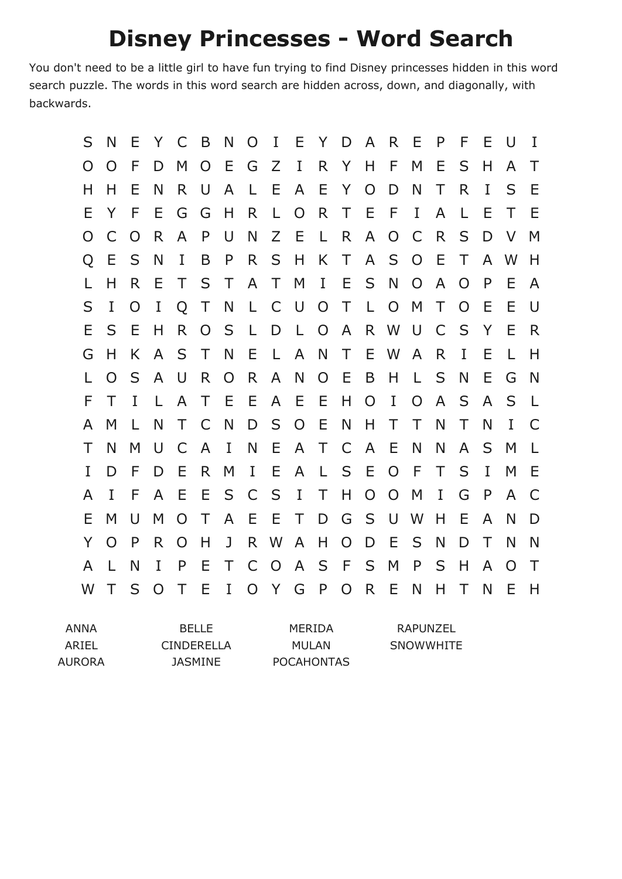## **Disney Princesses - Word Search**

You don't need to be a little girl to have fun trying to find Disney princesses hidden in this word search puzzle. The words in this word search are hidden across, down, and diagonally, with backwards.

| S | N        | E  | Y              | - C            | B            | N              | O            | $\mathbf{I}$   | E.             |                |                 |                | Y D A R E      |                | P | F      | Е | U        | $\mathbf I$  |
|---|----------|----|----------------|----------------|--------------|----------------|--------------|----------------|----------------|----------------|-----------------|----------------|----------------|----------------|---|--------|---|----------|--------------|
| O | O        | F  | D              | M              | $\Omega$     | Ε              | G            | Ζ              | $\bf{I}$       |                | R Y             | H              | F              | M              | Е | S      | H | A        | Τ            |
| Н | H.       | Ε  | N              | R.             | U            | A              | L            | E              | A              | Е              | Y               | $\overline{O}$ | D              | N              | Τ | R      | I | S        | Е            |
| Ε | Y        | F  | E              | G              | G            | H              | R            | $\perp$        | $\overline{O}$ | R.             | T E             |                | - F            | $\mathbf I$    | A | L      | Ε | Τ        | E            |
| O |          | O  | R              | A              | P            | U              | N            | Z              | E              | $\perp$        | $R_{\parallel}$ | $\mathsf{A}$   | $\overline{O}$ | $\mathsf{C}$   | R | S      | D | $\vee$   | M            |
| Q | Ε        | S  | N              | I              | B            | P              | R.           | S              | H              | K              | $\top$          | $\mathsf{A}$   | S              | $\overline{O}$ | Ε | Τ      | A | W        | Н            |
|   | Н        | R. | Е              | T              | S            | $\top$         | $\mathsf{A}$ | $\top$         | M              | $\mathbf{I}$   | E               | S              | N              | O              | A | O      | P | F        | A            |
| S | I        | O  | I              | $\overline{O}$ | $\top$       | N              | $\mathsf{L}$ | $\mathsf{C}$   | $\cup$         | O T            |                 | $\mathsf{L}$   | $\overline{O}$ | M              | Τ | O      | Е | E        | U            |
| Ε | S        | Ε  | H              | R              | O            | S              | L            | D              | $\mathsf{L}$   | $\overline{O}$ | $\mathsf{A}$    | R              | W              | $\cup$         | C | S      | Y | E        | R            |
| G | H        | K. | $\mathsf{A}$   | S              | Τ            | N              | Ε            | $\mathsf{L}$   | A              | N              | $\top$          | E              | W              | $\mathsf{A}$   | R | I      | Е | L        | Н            |
|   | O        | S  | A              | U              | R            | $\overline{O}$ | R            | A              | N              | $\overline{O}$ | - E             | B              | H              | $\mathsf{L}$   | S | N      | E | G        | N            |
| F | Τ        | T  | $\mathsf{L}$   | $\mathsf{A}$   | $\top$       | E              | Е            | A              | E              | E              | H               | $\overline{O}$ | I              | $\Omega$       | A | S      | A | S        | $\mathsf{L}$ |
| A | M        | L  | N              | Τ              | C            | N              | D            | S              | $\overline{O}$ | E              | N               | H              | $\top$         | Τ              | N | Τ      | N | I        | C            |
| Т | N        | M  | U              | C              | $\mathsf{A}$ | I              | N            | E              | $\mathsf{A}$   | T.             | C               | $\mathsf{A}$   | Ε              | N              | N | A      | S | M        | L            |
| L | D        | F  | D              | E              | R.           | M              | $\bf{I}$     | Е              | $\mathsf{A}$   | $\perp$        | S               | $-E$           | $\overline{O}$ | F              | T | S      | I | M        | E            |
| A | I        | F  | A              | -E             | E            | S              | C            | $\mathsf{S}$   | $\bf{I}$       | $\top$         | H               | $\overline{O}$ | $\overline{O}$ | M              | I | G      | P | A        | C            |
| Е | M        | U  | M              | $\Omega$       | Τ            | A              | Ε            | Е              | T              | D              | G               | S              | U              | W              | H | Е      | A | N        | D            |
| Y | $\Omega$ | P  | R.             | $\overline{O}$ | H            | J              | R.           | <b>W</b>       | A              | H              | O               | D              | Ε              | S              | N | D      | Τ | N        | N            |
| A |          | N  | I              | P              | E            | $\top$         | $\mathsf{C}$ | $\overline{O}$ | $\mathsf{A}$   | S              | - F             | S              | M              | P              | S | H      | A | $\Omega$ | $\top$       |
| W | Τ        | S  | $\overline{O}$ | $\top$         | E            | $\mathbf I$    |              | O Y G          |                | P              | $\overline{O}$  | R              | E              | N              | H | $\top$ | N | E        | H            |

| ANNA   | <b>BELLE</b>      | MERIDA            | RAPUNZEL  |
|--------|-------------------|-------------------|-----------|
| ARIEL  | <b>CINDERELLA</b> | MULAN             | SNOWWHITE |
| AURORA | JASMINE           | <b>POCAHONTAS</b> |           |